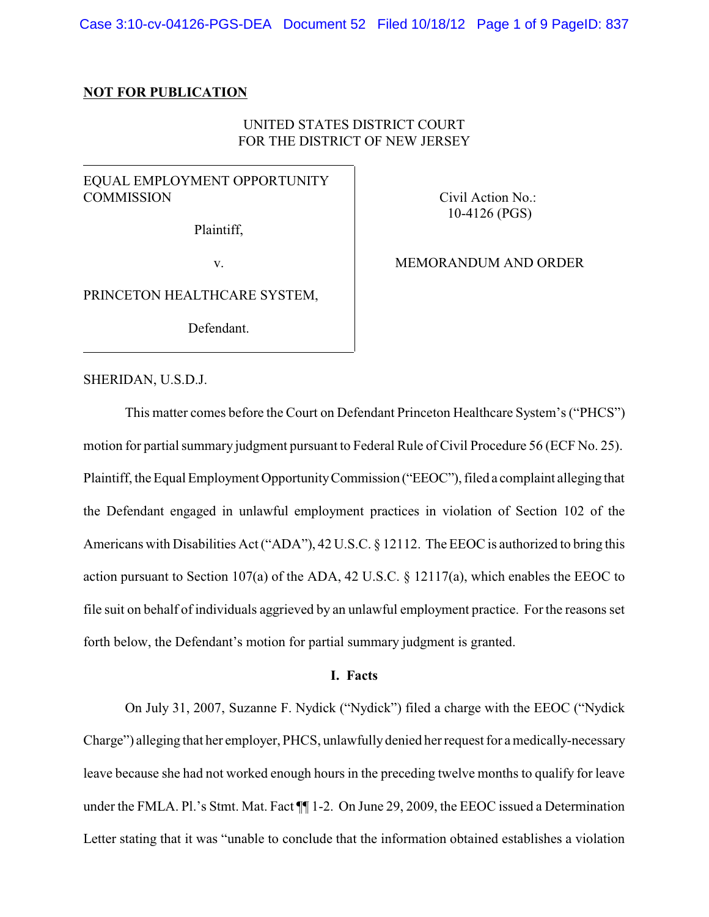### **NOT FOR PUBLICATION**

# UNITED STATES DISTRICT COURT FOR THE DISTRICT OF NEW JERSEY

# EQUAL EMPLOYMENT OPPORTUNITY **COMMISSION**

Plaintiff,

v.

Civil Action No.: 10-4126 (PGS)

MEMORANDUM AND ORDER

PRINCETON HEALTHCARE SYSTEM,

Defendant.

### SHERIDAN, U.S.D.J.

This matter comes before the Court on Defendant Princeton Healthcare System's ("PHCS") motion for partial summary judgment pursuant to Federal Rule of Civil Procedure 56 (ECF No. 25). Plaintiff, the Equal Employment OpportunityCommission ("EEOC"), filed a complaint alleging that the Defendant engaged in unlawful employment practices in violation of Section 102 of the Americans with Disabilities Act ("ADA"), 42 U.S.C. § 12112. The EEOC is authorized to bring this action pursuant to Section 107(a) of the ADA, 42 U.S.C. § 12117(a), which enables the EEOC to file suit on behalf of individuals aggrieved by an unlawful employment practice. For the reasons set forth below, the Defendant's motion for partial summary judgment is granted.

### **I. Facts**

On July 31, 2007, Suzanne F. Nydick ("Nydick") filed a charge with the EEOC ("Nydick Charge") alleging that her employer, PHCS, unlawfully denied her request for a medically-necessary leave because she had not worked enough hours in the preceding twelve months to qualify for leave under the FMLA. Pl.'s Stmt. Mat. Fact ¶¶ 1-2. On June 29, 2009, the EEOC issued a Determination Letter stating that it was "unable to conclude that the information obtained establishes a violation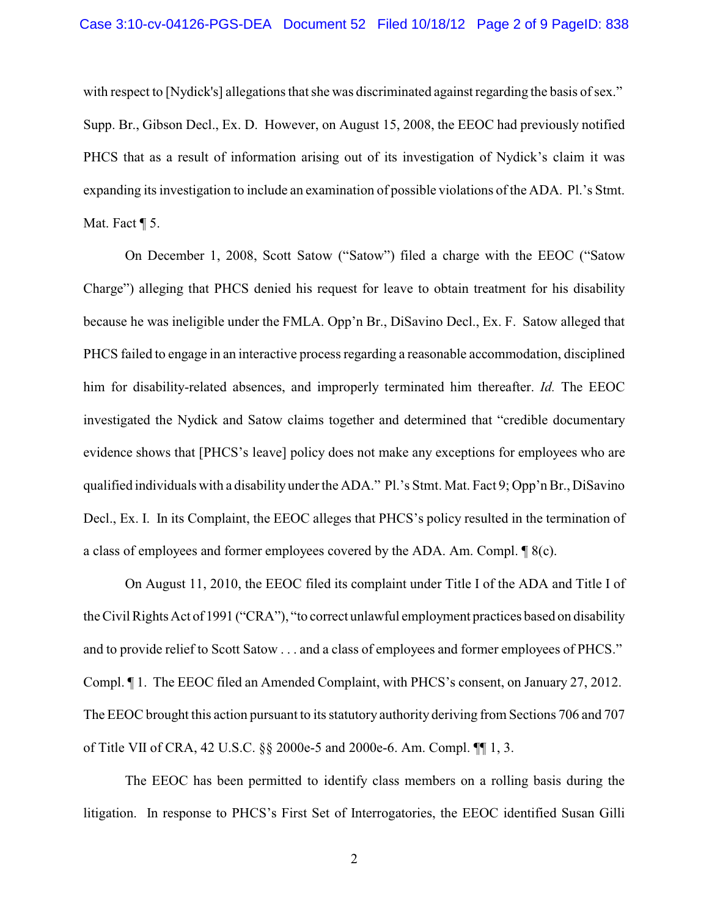with respect to [Nydick's] allegations that she was discriminated against regarding the basis of sex." Supp. Br., Gibson Decl., Ex. D. However, on August 15, 2008, the EEOC had previously notified PHCS that as a result of information arising out of its investigation of Nydick's claim it was expanding its investigation to include an examination of possible violations of the ADA. Pl.'s Stmt. Mat. Fact **[** 5.

On December 1, 2008, Scott Satow ("Satow") filed a charge with the EEOC ("Satow Charge") alleging that PHCS denied his request for leave to obtain treatment for his disability because he was ineligible under the FMLA. Opp'n Br., DiSavino Decl., Ex. F. Satow alleged that PHCS failed to engage in an interactive process regarding a reasonable accommodation, disciplined him for disability-related absences, and improperly terminated him thereafter. *Id.* The EEOC investigated the Nydick and Satow claims together and determined that "credible documentary evidence shows that [PHCS's leave] policy does not make any exceptions for employees who are qualified individuals with a disability under the ADA." Pl.'s Stmt. Mat. Fact 9; Opp'n Br., DiSavino Decl., Ex. I. In its Complaint, the EEOC alleges that PHCS's policy resulted in the termination of a class of employees and former employees covered by the ADA. Am. Compl. ¶ 8(c).

On August 11, 2010, the EEOC filed its complaint under Title I of the ADA and Title I of the Civil Rights Act of 1991 ("CRA"), "to correct unlawful employment practices based on disability and to provide relief to Scott Satow . . . and a class of employees and former employees of PHCS." Compl. ¶ 1. The EEOC filed an Amended Complaint, with PHCS's consent, on January 27, 2012. The EEOC brought this action pursuant to its statutory authority deriving from Sections 706 and 707 of Title VII of CRA, 42 U.S.C. §§ 2000e-5 and 2000e-6. Am. Compl. ¶¶ 1, 3.

The EEOC has been permitted to identify class members on a rolling basis during the litigation. In response to PHCS's First Set of Interrogatories, the EEOC identified Susan Gilli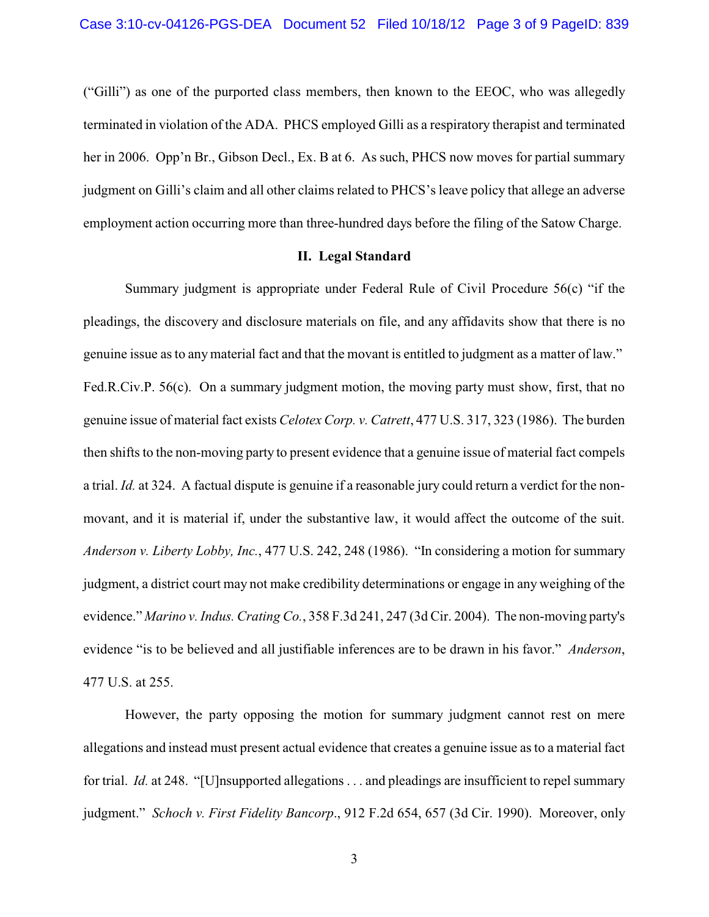("Gilli") as one of the purported class members, then known to the EEOC, who was allegedly terminated in violation of the ADA. PHCS employed Gilli as a respiratory therapist and terminated her in 2006. Opp'n Br., Gibson Decl., Ex. B at 6. As such, PHCS now moves for partial summary judgment on Gilli's claim and all other claims related to PHCS's leave policy that allege an adverse employment action occurring more than three-hundred days before the filing of the Satow Charge.

# **II. Legal Standard**

Summary judgment is appropriate under Federal Rule of Civil Procedure 56(c) "if the pleadings, the discovery and disclosure materials on file, and any affidavits show that there is no genuine issue as to any material fact and that the movant is entitled to judgment as a matter of law." Fed.R.Civ.P. 56(c). On a summary judgment motion, the moving party must show, first, that no genuine issue of material fact exists *Celotex Corp. v. Catrett*, 477 U.S. 317, 323 (1986). The burden then shifts to the non-moving party to present evidence that a genuine issue of material fact compels a trial. *Id.* at 324. A factual dispute is genuine if a reasonable jury could return a verdict for the nonmovant, and it is material if, under the substantive law, it would affect the outcome of the suit. *Anderson v. Liberty Lobby, Inc.*, 477 U.S. 242, 248 (1986). "In considering a motion for summary judgment, a district court may not make credibility determinations or engage in any weighing of the evidence." *Marino v. Indus. Crating Co.*, 358 F.3d 241, 247 (3d Cir. 2004). The non-moving party's evidence "is to be believed and all justifiable inferences are to be drawn in his favor." *Anderson*, 477 U.S. at 255.

However, the party opposing the motion for summary judgment cannot rest on mere allegations and instead must present actual evidence that creates a genuine issue as to a material fact for trial. *Id.* at 248. "[U]nsupported allegations . . . and pleadings are insufficient to repel summary judgment." *Schoch v. First Fidelity Bancorp*., 912 F.2d 654, 657 (3d Cir. 1990). Moreover, only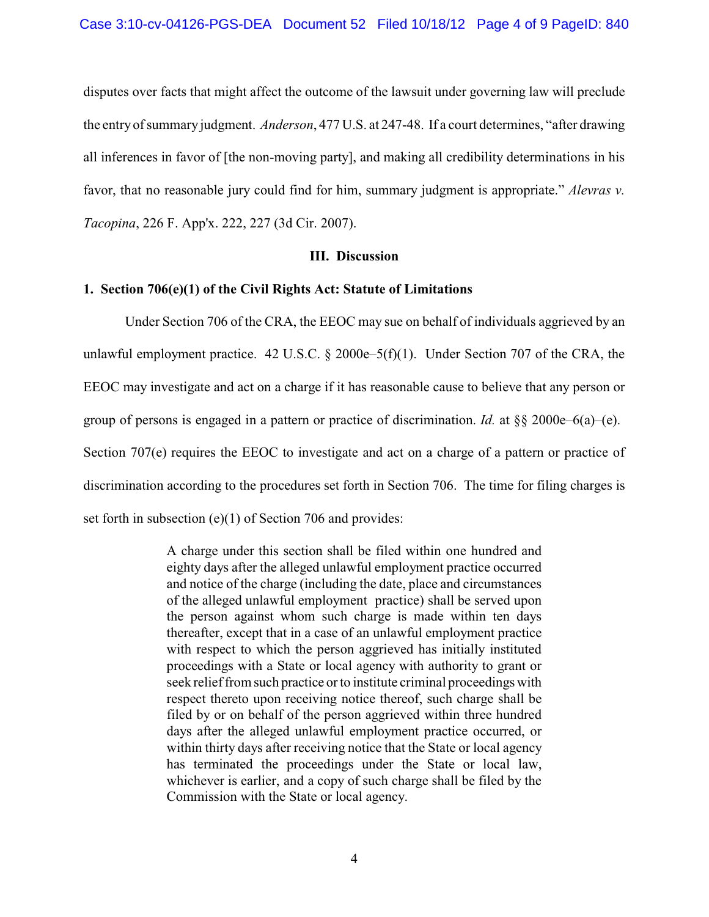disputes over facts that might affect the outcome of the lawsuit under governing law will preclude the entry of summary judgment. *Anderson*, 477 U.S. at 247-48. If a court determines, "after drawing all inferences in favor of [the non-moving party], and making all credibility determinations in his favor, that no reasonable jury could find for him, summary judgment is appropriate." *Alevras v. Tacopina*, 226 F. App'x. 222, 227 (3d Cir. 2007).

## **III. Discussion**

### **1. Section 706(e)(1) of the Civil Rights Act: Statute of Limitations**

Under Section 706 of the CRA, the EEOC may sue on behalf of individuals aggrieved by an unlawful employment practice.  $42 \text{ U.S.C.}$  §  $2000e-5(f)(1)$ . Under Section 707 of the CRA, the EEOC may investigate and act on a charge if it has reasonable cause to believe that any person or group of persons is engaged in a pattern or practice of discrimination. *Id.* at §§ 2000e–6(a)–(e). Section 707(e) requires the EEOC to investigate and act on a charge of a pattern or practice of discrimination according to the procedures set forth in Section 706. The time for filing charges is set forth in subsection (e)(1) of Section 706 and provides:

> A charge under this section shall be filed within one hundred and eighty days after the alleged unlawful employment practice occurred and notice of the charge (including the date, place and circumstances of the alleged unlawful employment practice) shall be served upon the person against whom such charge is made within ten days thereafter, except that in a case of an unlawful employment practice with respect to which the person aggrieved has initially instituted proceedings with a State or local agency with authority to grant or seek relief from such practice or to institute criminal proceedings with respect thereto upon receiving notice thereof, such charge shall be filed by or on behalf of the person aggrieved within three hundred days after the alleged unlawful employment practice occurred, or within thirty days after receiving notice that the State or local agency has terminated the proceedings under the State or local law, whichever is earlier, and a copy of such charge shall be filed by the Commission with the State or local agency.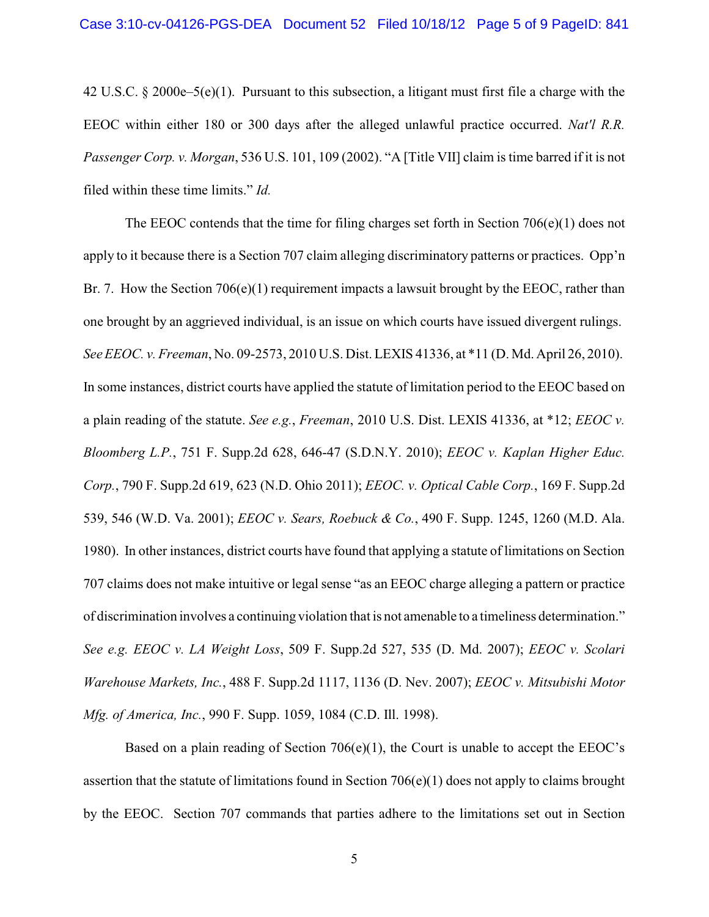42 U.S.C. § 2000e–5(e)(1). Pursuant to this subsection, a litigant must first file a charge with the EEOC within either 180 or 300 days after the alleged unlawful practice occurred. *Nat'l R.R. Passenger Corp. v. Morgan*, 536 U.S. 101, 109 (2002). "A [Title VII] claim is time barred if it is not filed within these time limits." *Id.*

The EEOC contends that the time for filing charges set forth in Section 706(e)(1) does not apply to it because there is a Section 707 claim alleging discriminatory patterns or practices. Opp'n Br. 7. How the Section  $706(e)(1)$  requirement impacts a lawsuit brought by the EEOC, rather than one brought by an aggrieved individual, is an issue on which courts have issued divergent rulings. *See EEOC. v. Freeman*, No. 09-2573, 2010 U.S. Dist. LEXIS 41336, at \*11 (D. Md. April 26, 2010). In some instances, district courts have applied the statute of limitation period to the EEOC based on a plain reading of the statute. *See e.g.*, *Freeman*, 2010 U.S. Dist. LEXIS 41336, at \*12; *EEOC v. Bloomberg L.P.*, 751 F. Supp.2d 628, 646-47 (S.D.N.Y. 2010); *EEOC v. Kaplan Higher Educ. Corp.*, 790 F. Supp.2d 619, 623 (N.D. Ohio 2011); *EEOC. v. Optical Cable Corp.*, 169 F. Supp.2d 539, 546 (W.D. Va. 2001); *EEOC v. Sears, Roebuck & Co.*, 490 F. Supp. 1245, 1260 (M.D. Ala. 1980). In other instances, district courts have found that applying a statute of limitations on Section 707 claims does not make intuitive or legal sense "as an EEOC charge alleging a pattern or practice of discrimination involves a continuing violation that is not amenable to a timeliness determination." *See e.g. EEOC v. LA Weight Loss*, 509 F. Supp.2d 527, 535 (D. Md. 2007); *EEOC v. Scolari Warehouse Markets, Inc.*, 488 F. Supp.2d 1117, 1136 (D. Nev. 2007); *EEOC v. Mitsubishi Motor Mfg. of America, Inc.*, 990 F. Supp. 1059, 1084 (C.D. Ill. 1998).

Based on a plain reading of Section  $706(e)(1)$ , the Court is unable to accept the EEOC's assertion that the statute of limitations found in Section 706(e)(1) does not apply to claims brought by the EEOC. Section 707 commands that parties adhere to the limitations set out in Section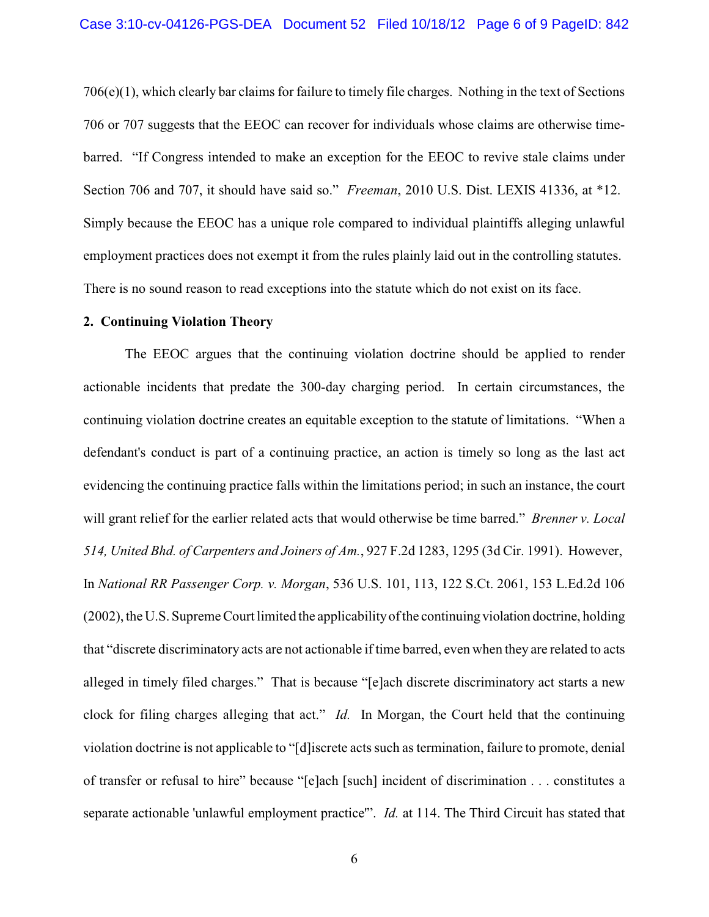706(e)(1), which clearly bar claims for failure to timely file charges. Nothing in the text of Sections 706 or 707 suggests that the EEOC can recover for individuals whose claims are otherwise timebarred. "If Congress intended to make an exception for the EEOC to revive stale claims under Section 706 and 707, it should have said so." *Freeman*, 2010 U.S. Dist. LEXIS 41336, at \*12. Simply because the EEOC has a unique role compared to individual plaintiffs alleging unlawful employment practices does not exempt it from the rules plainly laid out in the controlling statutes. There is no sound reason to read exceptions into the statute which do not exist on its face.

#### **2. Continuing Violation Theory**

The EEOC argues that the continuing violation doctrine should be applied to render actionable incidents that predate the 300-day charging period. In certain circumstances, the continuing violation doctrine creates an equitable exception to the statute of limitations. "When a defendant's conduct is part of a continuing practice, an action is timely so long as the last act evidencing the continuing practice falls within the limitations period; in such an instance, the court will grant relief for the earlier related acts that would otherwise be time barred." *Brenner v. Local 514, United Bhd. of Carpenters and Joiners of Am.*, 927 F.2d 1283, 1295 (3d Cir. 1991). However, In *National RR Passenger Corp. v. Morgan*, 536 U.S. 101, 113, 122 S.Ct. 2061, 153 L.Ed.2d 106 (2002), the U.S. Supreme Court limited the applicabilityof the continuingviolation doctrine, holding that "discrete discriminatory acts are not actionable if time barred, even when they are related to acts alleged in timely filed charges." That is because "[e]ach discrete discriminatory act starts a new clock for filing charges alleging that act." *Id.* In Morgan, the Court held that the continuing violation doctrine is not applicable to "[d]iscrete acts such as termination, failure to promote, denial of transfer or refusal to hire" because "[e]ach [such] incident of discrimination . . . constitutes a separate actionable 'unlawful employment practice'". *Id.* at 114. The Third Circuit has stated that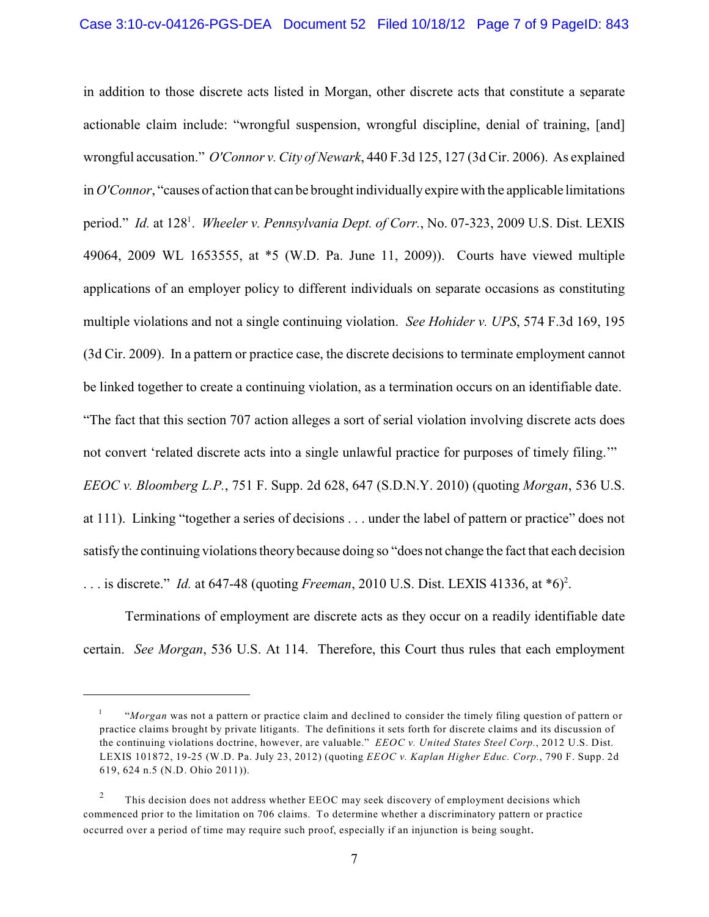in addition to those discrete acts listed in Morgan, other discrete acts that constitute a separate actionable claim include: "wrongful suspension, wrongful discipline, denial of training, [and] wrongful accusation." *O'Connor v. City of Newark*, 440 F.3d 125, 127 (3d Cir. 2006). As explained in *O'Connor*, "causes of action that can be brought individually expirewith the applicable limitations period." *Id.* at 128<sup>1</sup>. Wheeler v. Pennsylvania Dept. of Corr., No. 07-323, 2009 U.S. Dist. LEXIS 49064, 2009 WL 1653555, at \*5 (W.D. Pa. June 11, 2009)). Courts have viewed multiple applications of an employer policy to different individuals on separate occasions as constituting multiple violations and not a single continuing violation. *See Hohider v. UPS*, 574 F.3d 169, 195 (3d Cir. 2009). In a pattern or practice case, the discrete decisions to terminate employment cannot be linked together to create a continuing violation, as a termination occurs on an identifiable date. "The fact that this section 707 action alleges a sort of serial violation involving discrete acts does not convert 'related discrete acts into a single unlawful practice for purposes of timely filing.'" *EEOC v. Bloomberg L.P.*, 751 F. Supp. 2d 628, 647 (S.D.N.Y. 2010) (quoting *Morgan*, 536 U.S. at 111). Linking "together a series of decisions . . . under the label of pattern or practice" does not satisfy the continuing violations theory because doing so "does not change the fact that each decision ... is discrete." *Id.* at 647-48 (quoting *Freeman*, 2010 U.S. Dist. LEXIS 41336, at  $*6$ )<sup>2</sup>.

Terminations of employment are discrete acts as they occur on a readily identifiable date certain. *See Morgan*, 536 U.S. At 114. Therefore, this Court thus rules that each employment

<sup>&</sup>quot;*Morgan* was not a pattern or practice claim and declined to consider the timely filing question of pattern or 1 practice claims brought by private litigants. The definitions it sets forth for discrete claims and its discussion of the continuing violations doctrine, however, are valuable." *EEOC v. United States Steel Corp.*, 2012 U.S. Dist. LEXIS 101872, 19-25 (W.D. Pa. July 23, 2012) (quoting *EEOC v. Kaplan Higher Educ. Corp.*, 790 F. Supp. 2d 619, 624 n.5 (N.D. Ohio 2011)).

This decision does not address whether EEOC may seek discovery of employment decisions which 2 commenced prior to the limitation on 706 claims. To determine whether a discriminatory pattern or practice occurred over a period of time may require such proof, especially if an injunction is being sought.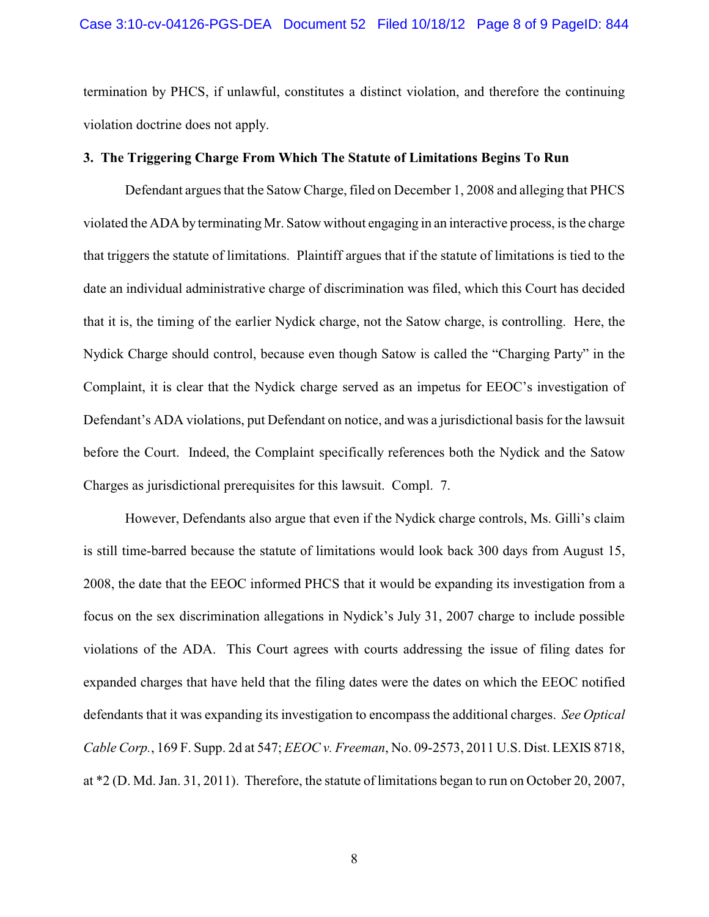termination by PHCS, if unlawful, constitutes a distinct violation, and therefore the continuing violation doctrine does not apply.

### **3. The Triggering Charge From Which The Statute of Limitations Begins To Run**

Defendant argues that the Satow Charge, filed on December 1, 2008 and alleging that PHCS violated the ADA by terminating Mr. Satow without engaging in an interactive process, is the charge that triggers the statute of limitations. Plaintiff argues that if the statute of limitations is tied to the date an individual administrative charge of discrimination was filed, which this Court has decided that it is, the timing of the earlier Nydick charge, not the Satow charge, is controlling. Here, the Nydick Charge should control, because even though Satow is called the "Charging Party" in the Complaint, it is clear that the Nydick charge served as an impetus for EEOC's investigation of Defendant's ADA violations, put Defendant on notice, and was a jurisdictional basis for the lawsuit before the Court. Indeed, the Complaint specifically references both the Nydick and the Satow Charges as jurisdictional prerequisites for this lawsuit. Compl. 7.

However, Defendants also argue that even if the Nydick charge controls, Ms. Gilli's claim is still time-barred because the statute of limitations would look back 300 days from August 15, 2008, the date that the EEOC informed PHCS that it would be expanding its investigation from a focus on the sex discrimination allegations in Nydick's July 31, 2007 charge to include possible violations of the ADA. This Court agrees with courts addressing the issue of filing dates for expanded charges that have held that the filing dates were the dates on which the EEOC notified defendants that it was expanding its investigation to encompass the additional charges. *See Optical Cable Corp.*, 169 F. Supp. 2d at 547; *EEOC v. Freeman*, No. 09-2573, 2011 U.S. Dist. LEXIS 8718, at \*2 (D. Md. Jan. 31, 2011). Therefore, the statute of limitations began to run on October 20, 2007,